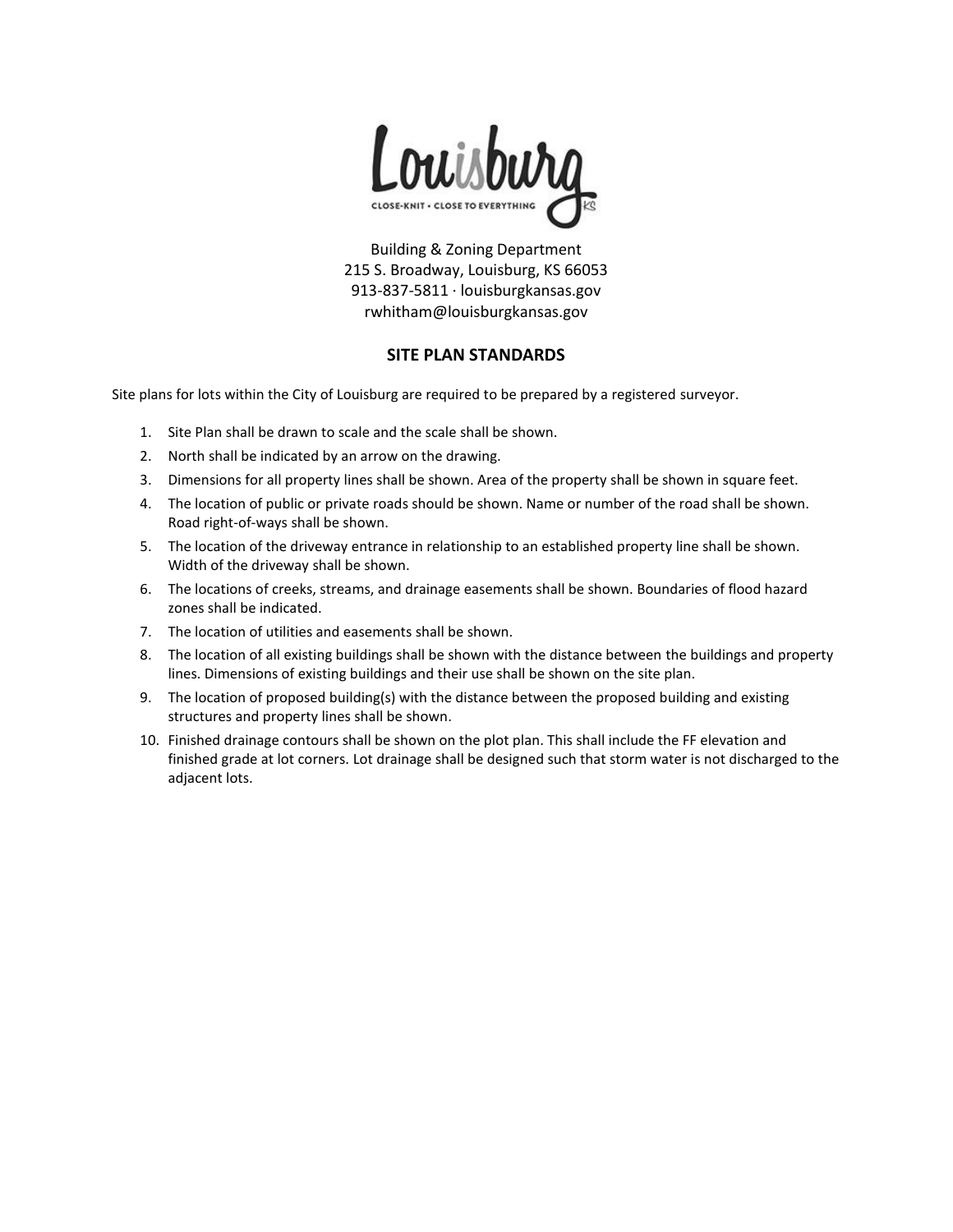

Building & Zoning Department 215 S. Broadway, Louisburg, KS 66053 913-837-5811 · louisburgkansas.gov rwhitham@louisburgkansas.gov

## **SITE PLAN STANDARDS**

Site plans for lots within the City of Louisburg are required to be prepared by a registered surveyor.

- 1. Site Plan shall be drawn to scale and the scale shall be shown.
- 2. North shall be indicated by an arrow on the drawing.
- 3. Dimensions for all property lines shall be shown. Area of the property shall be shown in square feet.
- 4. The location of public or private roads should be shown. Name or number of the road shall be shown. Road right-of-ways shall be shown.
- 5. The location of the driveway entrance in relationship to an established property line shall be shown. Width of the driveway shall be shown.
- 6. The locations of creeks, streams, and drainage easements shall be shown. Boundaries of flood hazard zones shall be indicated.
- 7. The location of utilities and easements shall be shown.
- 8. The location of all existing buildings shall be shown with the distance between the buildings and property lines. Dimensions of existing buildings and their use shall be shown on the site plan.
- 9. The location of proposed building(s) with the distance between the proposed building and existing structures and property lines shall be shown.
- 10. Finished drainage contours shall be shown on the plot plan. This shall include the FF elevation and finished grade at lot corners. Lot drainage shall be designed such that storm water is not discharged to the adjacent lots.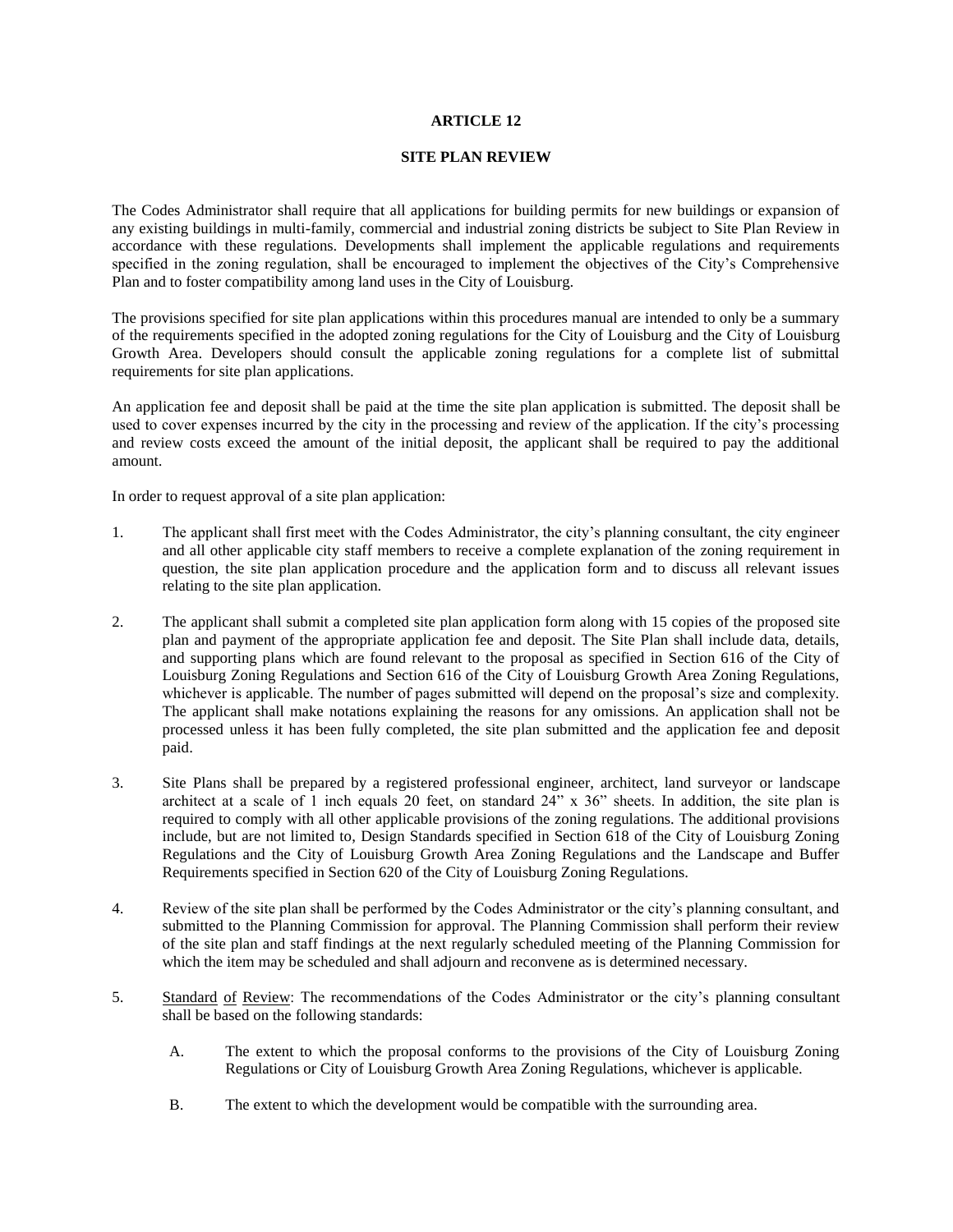#### **ARTICLE 12**

#### **SITE PLAN REVIEW**

The Codes Administrator shall require that all applications for building permits for new buildings or expansion of any existing buildings in multi-family, commercial and industrial zoning districts be subject to Site Plan Review in accordance with these regulations. Developments shall implement the applicable regulations and requirements specified in the zoning regulation, shall be encouraged to implement the objectives of the City's Comprehensive Plan and to foster compatibility among land uses in the City of Louisburg.

The provisions specified for site plan applications within this procedures manual are intended to only be a summary of the requirements specified in the adopted zoning regulations for the City of Louisburg and the City of Louisburg Growth Area. Developers should consult the applicable zoning regulations for a complete list of submittal requirements for site plan applications.

An application fee and deposit shall be paid at the time the site plan application is submitted. The deposit shall be used to cover expenses incurred by the city in the processing and review of the application. If the city's processing and review costs exceed the amount of the initial deposit, the applicant shall be required to pay the additional amount.

In order to request approval of a site plan application:

- 1. The applicant shall first meet with the Codes Administrator, the city's planning consultant, the city engineer and all other applicable city staff members to receive a complete explanation of the zoning requirement in question, the site plan application procedure and the application form and to discuss all relevant issues relating to the site plan application.
- 2. The applicant shall submit a completed site plan application form along with 15 copies of the proposed site plan and payment of the appropriate application fee and deposit. The Site Plan shall include data, details, and supporting plans which are found relevant to the proposal as specified in Section 616 of the City of Louisburg Zoning Regulations and Section 616 of the City of Louisburg Growth Area Zoning Regulations, whichever is applicable. The number of pages submitted will depend on the proposal's size and complexity. The applicant shall make notations explaining the reasons for any omissions. An application shall not be processed unless it has been fully completed, the site plan submitted and the application fee and deposit paid.
- 3. Site Plans shall be prepared by a registered professional engineer, architect, land surveyor or landscape architect at a scale of 1 inch equals 20 feet, on standard  $24$ " x  $36$ " sheets. In addition, the site plan is required to comply with all other applicable provisions of the zoning regulations. The additional provisions include, but are not limited to, Design Standards specified in Section 618 of the City of Louisburg Zoning Regulations and the City of Louisburg Growth Area Zoning Regulations and the Landscape and Buffer Requirements specified in Section 620 of the City of Louisburg Zoning Regulations.
- 4. Review of the site plan shall be performed by the Codes Administrator or the city's planning consultant, and submitted to the Planning Commission for approval. The Planning Commission shall perform their review of the site plan and staff findings at the next regularly scheduled meeting of the Planning Commission for which the item may be scheduled and shall adjourn and reconvene as is determined necessary.
- 5. Standard of Review: The recommendations of the Codes Administrator or the city's planning consultant shall be based on the following standards:
	- A. The extent to which the proposal conforms to the provisions of the City of Louisburg Zoning Regulations or City of Louisburg Growth Area Zoning Regulations, whichever is applicable.
	- B. The extent to which the development would be compatible with the surrounding area.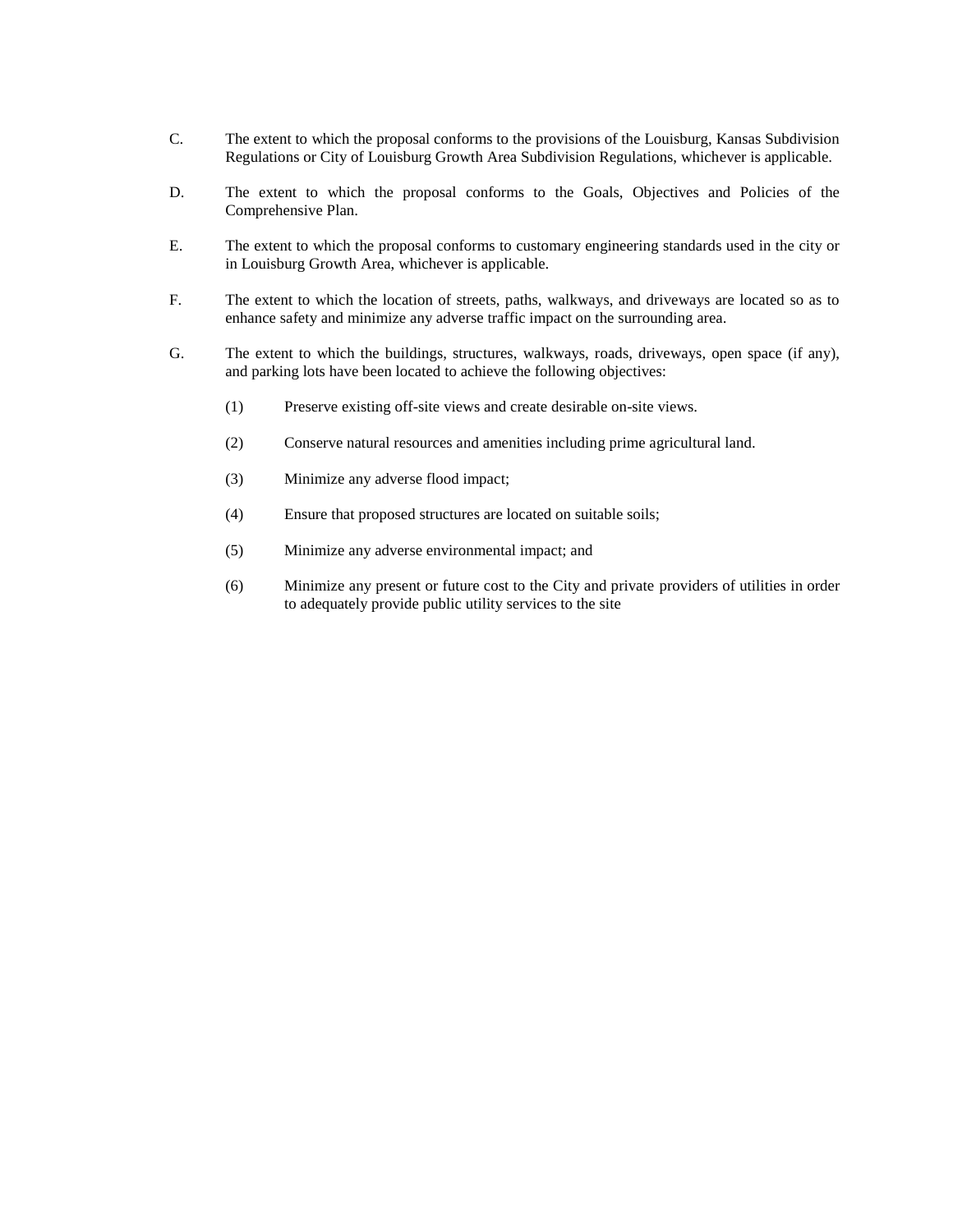- C. The extent to which the proposal conforms to the provisions of the Louisburg, Kansas Subdivision Regulations or City of Louisburg Growth Area Subdivision Regulations, whichever is applicable.
- D. The extent to which the proposal conforms to the Goals, Objectives and Policies of the Comprehensive Plan.
- E. The extent to which the proposal conforms to customary engineering standards used in the city or in Louisburg Growth Area, whichever is applicable.
- F. The extent to which the location of streets, paths, walkways, and driveways are located so as to enhance safety and minimize any adverse traffic impact on the surrounding area.
- G. The extent to which the buildings, structures, walkways, roads, driveways, open space (if any), and parking lots have been located to achieve the following objectives:
	- (1) Preserve existing off-site views and create desirable on-site views.
	- (2) Conserve natural resources and amenities including prime agricultural land.
	- (3) Minimize any adverse flood impact;
	- (4) Ensure that proposed structures are located on suitable soils;
	- (5) Minimize any adverse environmental impact; and
	- (6) Minimize any present or future cost to the City and private providers of utilities in order to adequately provide public utility services to the site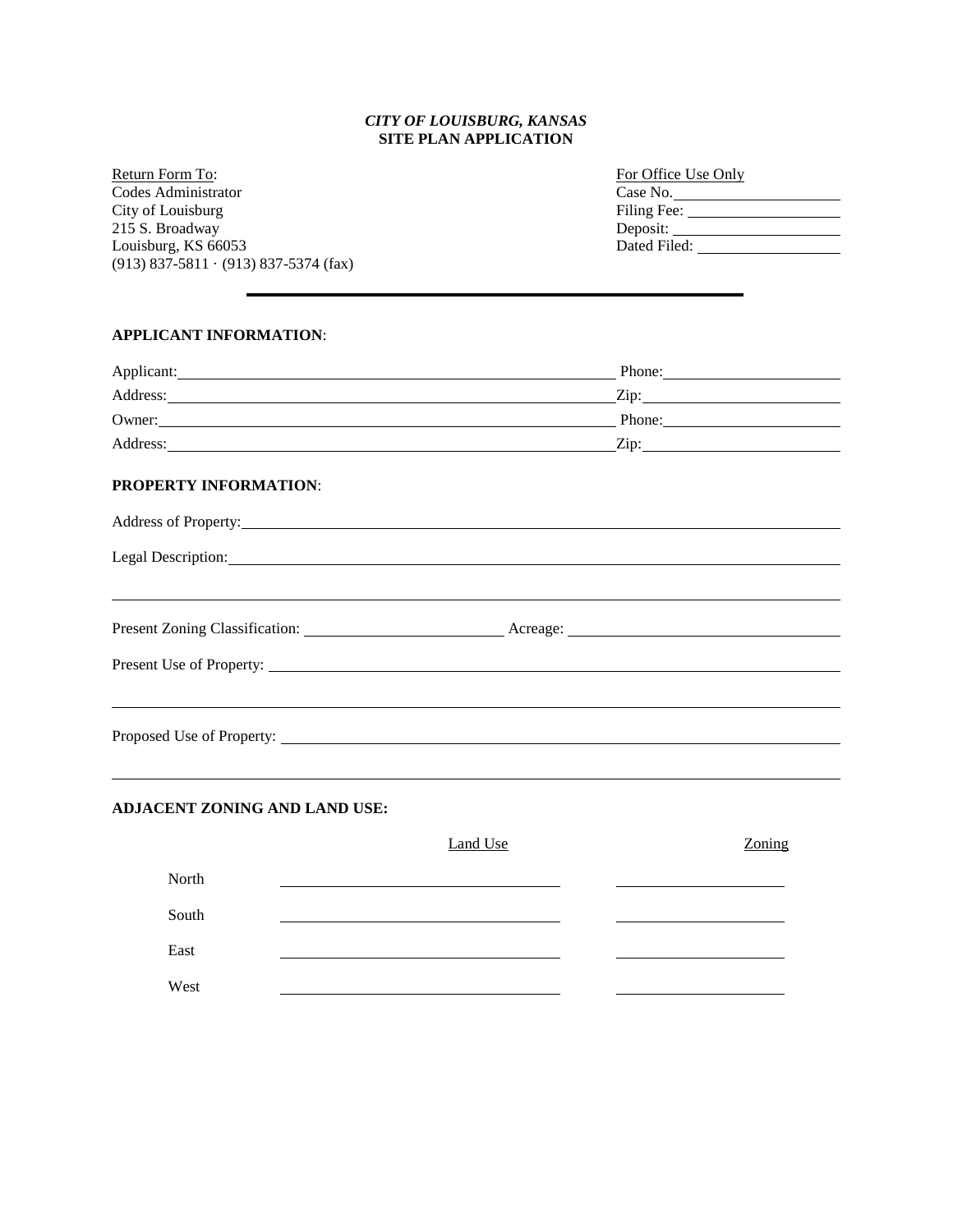## *CITY OF LOUISBURG, KANSAS* **SITE PLAN APPLICATION**

Return Form To: Codes Administrator City of Louisburg 215 S. Broadway Louisburg, KS 66053 (913) 837-5811 · (913) 837-5374 (fax)

| For Office Use Only |
|---------------------|
| Case No.            |
| Filing Fee:         |
| Deposit:            |
| Dated Filed:        |
|                     |

#### **APPLICANT INFORMATION**:

| Applicant:                                                                                                                                                                                                                     | Phone: |
|--------------------------------------------------------------------------------------------------------------------------------------------------------------------------------------------------------------------------------|--------|
|                                                                                                                                                                                                                                |        |
| Owner: Phone: Phone: Phone: Phone: Phone: Phone: Phone: Phone: Phone: Phone: Phone: Phone: Phone: Phone: Phone: Phone: Phone: Phone: Phone: Phone: Phone: Phone: Phone: Phone: Phone: Phone: Phone: Phone: Phone: Phone: Phone |        |
|                                                                                                                                                                                                                                |        |
| PROPERTY INFORMATION:                                                                                                                                                                                                          |        |
|                                                                                                                                                                                                                                |        |
| Legal Description:                                                                                                                                                                                                             |        |
|                                                                                                                                                                                                                                |        |
|                                                                                                                                                                                                                                |        |
|                                                                                                                                                                                                                                |        |
|                                                                                                                                                                                                                                |        |

## **ADJACENT ZONING AND LAND USE:**

|       | <b>Land Use</b> | Zoning |
|-------|-----------------|--------|
| North |                 |        |
| South |                 |        |
| East  |                 |        |
| West  |                 |        |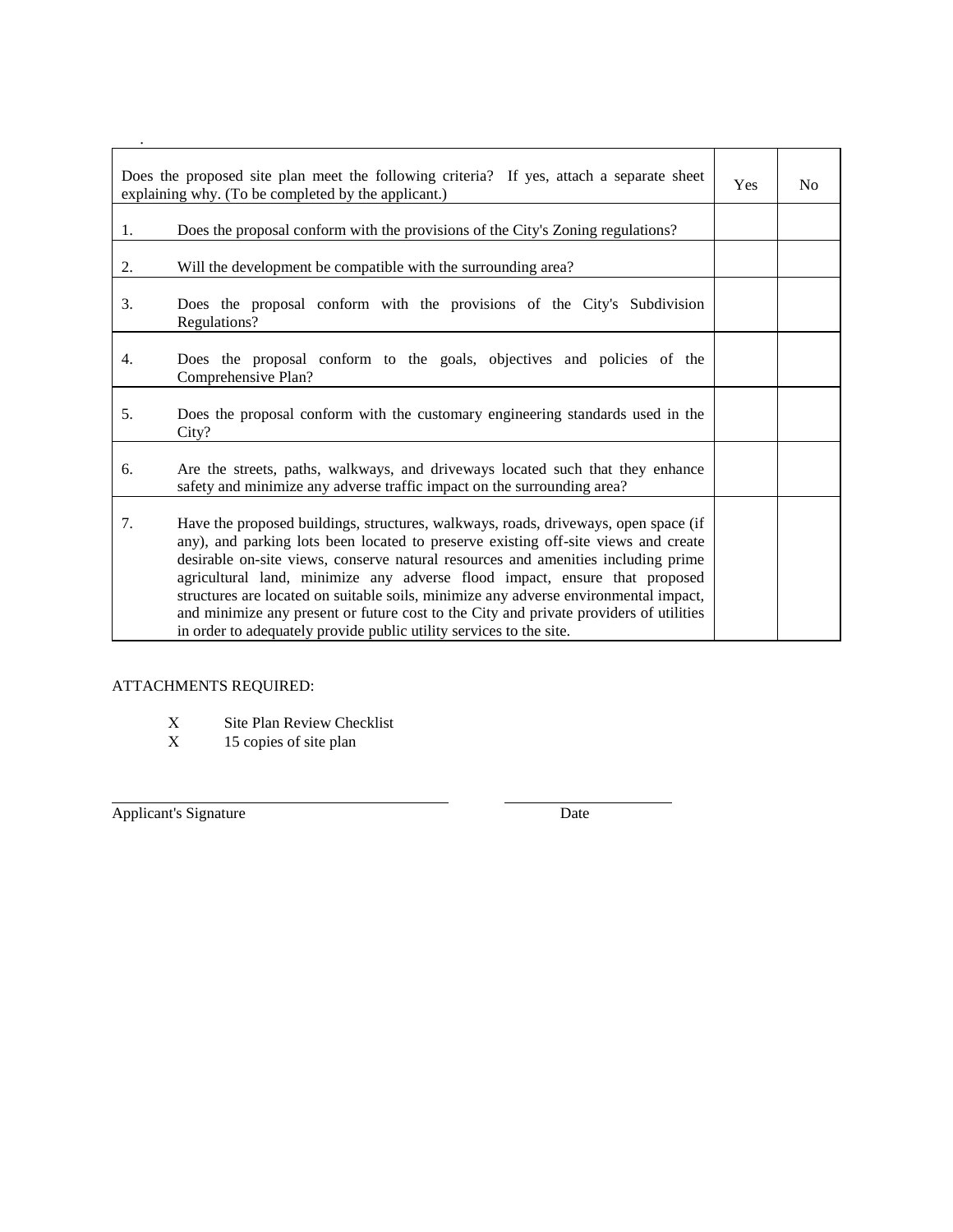|    | Does the proposed site plan meet the following criteria? If yes, attach a separate sheet<br>explaining why. (To be completed by the applicant.)                                                                                                                                                                                                                                                                                                                                                                                                                                                       | <b>Yes</b> | N <sub>0</sub> |
|----|-------------------------------------------------------------------------------------------------------------------------------------------------------------------------------------------------------------------------------------------------------------------------------------------------------------------------------------------------------------------------------------------------------------------------------------------------------------------------------------------------------------------------------------------------------------------------------------------------------|------------|----------------|
| 1. | Does the proposal conform with the provisions of the City's Zoning regulations?                                                                                                                                                                                                                                                                                                                                                                                                                                                                                                                       |            |                |
| 2. | Will the development be compatible with the surrounding area?                                                                                                                                                                                                                                                                                                                                                                                                                                                                                                                                         |            |                |
| 3. | Does the proposal conform with the provisions of the City's Subdivision<br>Regulations?                                                                                                                                                                                                                                                                                                                                                                                                                                                                                                               |            |                |
| 4. | Does the proposal conform to the goals, objectives and policies of the<br>Comprehensive Plan?                                                                                                                                                                                                                                                                                                                                                                                                                                                                                                         |            |                |
| 5. | Does the proposal conform with the customary engineering standards used in the<br>City?                                                                                                                                                                                                                                                                                                                                                                                                                                                                                                               |            |                |
| 6. | Are the streets, paths, walkways, and driveways located such that they enhance<br>safety and minimize any adverse traffic impact on the surrounding area?                                                                                                                                                                                                                                                                                                                                                                                                                                             |            |                |
| 7. | Have the proposed buildings, structures, walkways, roads, driveways, open space (if<br>any), and parking lots been located to preserve existing off-site views and create<br>desirable on-site views, conserve natural resources and amenities including prime<br>agricultural land, minimize any adverse flood impact, ensure that proposed<br>structures are located on suitable soils, minimize any adverse environmental impact,<br>and minimize any present or future cost to the City and private providers of utilities<br>in order to adequately provide public utility services to the site. |            |                |

# ATTACHMENTS REQUIRED:

- X Site Plan Review Checklist<br>X 15 copies of site plan
- 15 copies of site plan

Applicant's Signature Date

l

.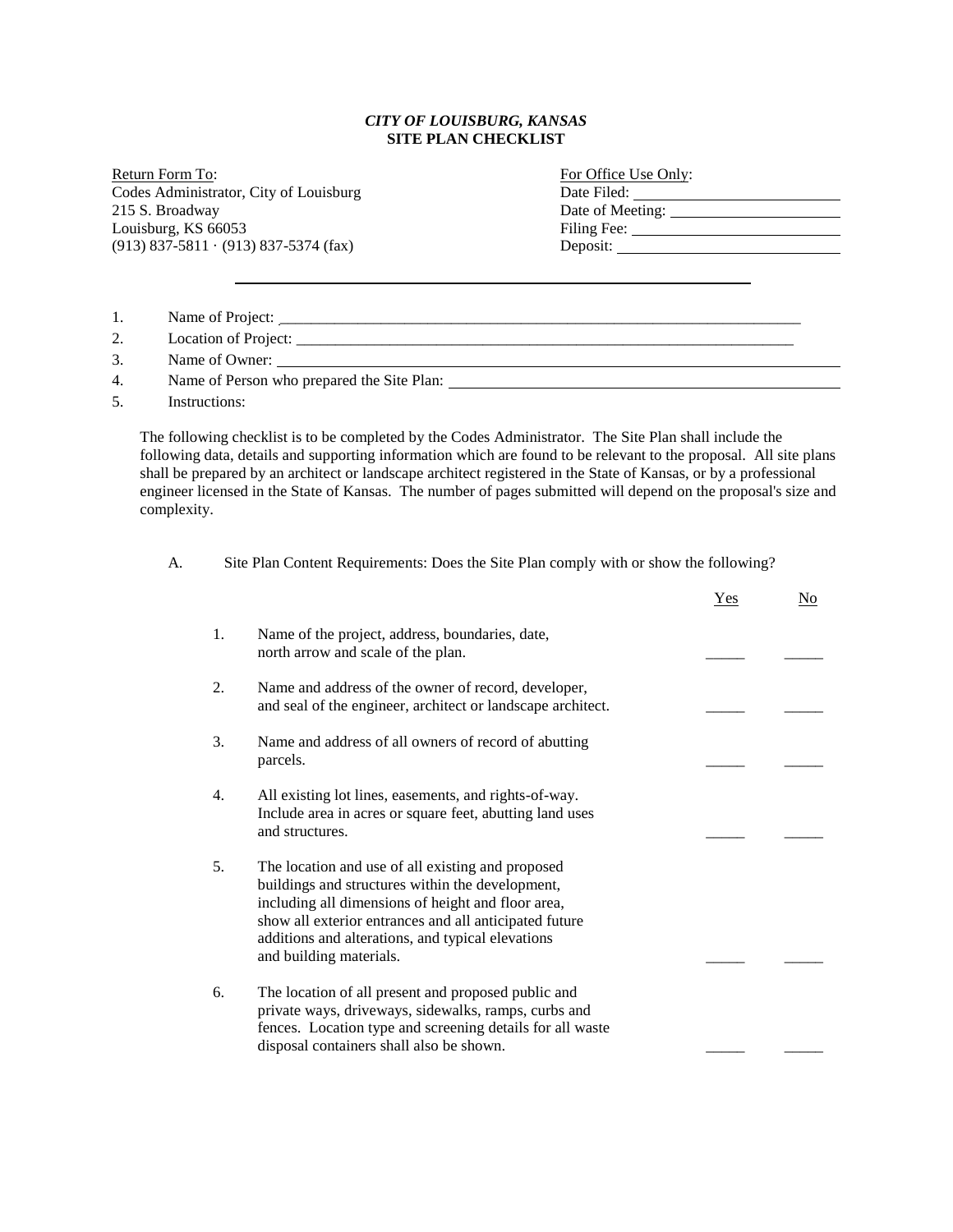## *CITY OF LOUISBURG, KANSAS* **SITE PLAN CHECKLIST**

Return Form To: Codes Administrator, City of Louisburg 215 S. Broadway Louisburg, KS 66053  $(913) 837-5811 \cdot (913) 837-5374$  (fax)

| For Office Use Only:              |
|-----------------------------------|
| Date Filed:                       |
| Date of Meeting:                  |
| Filing Fee:                       |
| Deposit: $\overline{\phantom{a}}$ |
|                                   |

| 2.<br>3.<br>Name of Owner:                       | 1. | Name of Project: |
|--------------------------------------------------|----|------------------|
|                                                  |    |                  |
|                                                  |    |                  |
| Name of Person who prepared the Site Plan:<br>4. |    |                  |

5. Instructions:

The following checklist is to be completed by the Codes Administrator. The Site Plan shall include the following data, details and supporting information which are found to be relevant to the proposal. All site plans shall be prepared by an architect or landscape architect registered in the State of Kansas, or by a professional engineer licensed in the State of Kansas. The number of pages submitted will depend on the proposal's size and complexity.

A. Site Plan Content Requirements: Does the Site Plan comply with or show the following?

|    |                                                                                                                                                                                                                                                                                                       | Yes | <u>No</u> |
|----|-------------------------------------------------------------------------------------------------------------------------------------------------------------------------------------------------------------------------------------------------------------------------------------------------------|-----|-----------|
| 1. | Name of the project, address, boundaries, date,<br>north arrow and scale of the plan.                                                                                                                                                                                                                 |     |           |
| 2. | Name and address of the owner of record, developer,<br>and seal of the engineer, architect or landscape architect.                                                                                                                                                                                    |     |           |
| 3. | Name and address of all owners of record of abutting<br>parcels.                                                                                                                                                                                                                                      |     |           |
| 4. | All existing lot lines, easements, and rights-of-way.<br>Include area in acres or square feet, abutting land uses<br>and structures.                                                                                                                                                                  |     |           |
| 5. | The location and use of all existing and proposed<br>buildings and structures within the development,<br>including all dimensions of height and floor area,<br>show all exterior entrances and all anticipated future<br>additions and alterations, and typical elevations<br>and building materials. |     |           |
| 6. | The location of all present and proposed public and<br>private ways, driveways, sidewalks, ramps, curbs and<br>fences. Location type and screening details for all waste<br>disposal containers shall also be shown.                                                                                  |     |           |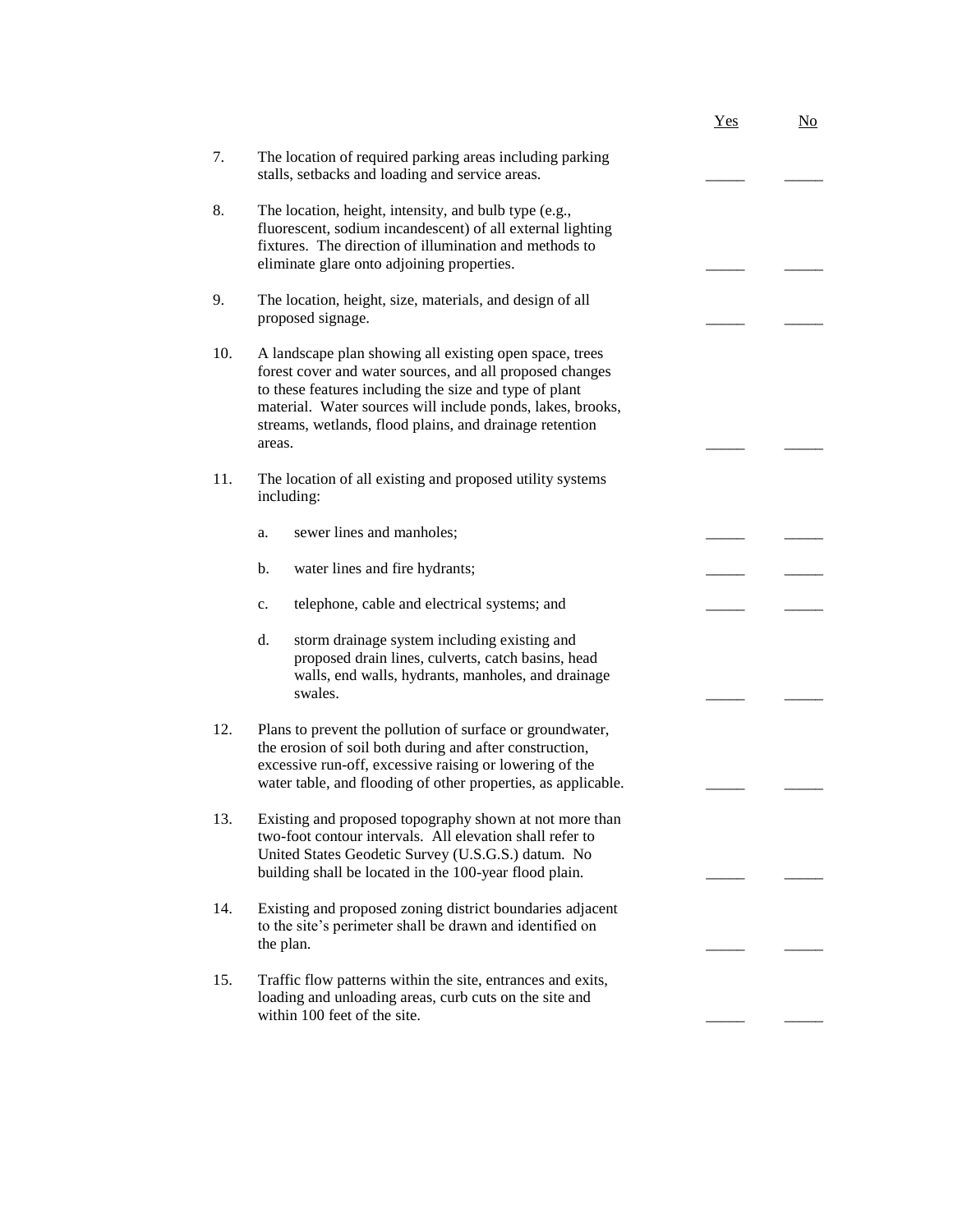|     |                                                                                                                                                                                                                                                                                                                  | Yes | No |
|-----|------------------------------------------------------------------------------------------------------------------------------------------------------------------------------------------------------------------------------------------------------------------------------------------------------------------|-----|----|
| 7.  | The location of required parking areas including parking<br>stalls, setbacks and loading and service areas.                                                                                                                                                                                                      |     |    |
| 8.  | The location, height, intensity, and bulb type (e.g.,<br>fluorescent, sodium incandescent) of all external lighting<br>fixtures. The direction of illumination and methods to<br>eliminate glare onto adjoining properties.                                                                                      |     |    |
| 9.  | The location, height, size, materials, and design of all<br>proposed signage.                                                                                                                                                                                                                                    |     |    |
| 10. | A landscape plan showing all existing open space, trees<br>forest cover and water sources, and all proposed changes<br>to these features including the size and type of plant<br>material. Water sources will include ponds, lakes, brooks,<br>streams, wetlands, flood plains, and drainage retention<br>areas. |     |    |
| 11. | The location of all existing and proposed utility systems<br>including:                                                                                                                                                                                                                                          |     |    |
|     | sewer lines and manholes;<br>a.                                                                                                                                                                                                                                                                                  |     |    |
|     | b.<br>water lines and fire hydrants;                                                                                                                                                                                                                                                                             |     |    |
|     | telephone, cable and electrical systems; and<br>c.                                                                                                                                                                                                                                                               |     |    |
|     | d.<br>storm drainage system including existing and<br>proposed drain lines, culverts, catch basins, head<br>walls, end walls, hydrants, manholes, and drainage<br>swales.                                                                                                                                        |     |    |
| 12. | Plans to prevent the pollution of surface or groundwater,<br>the erosion of soil both during and after construction,<br>excessive run-off, excessive raising or lowering of the<br>water table, and flooding of other properties, as applicable.                                                                 |     |    |
| 13. | Existing and proposed topography shown at not more than<br>two-foot contour intervals. All elevation shall refer to<br>United States Geodetic Survey (U.S.G.S.) datum. No<br>building shall be located in the 100-year flood plain.                                                                              |     |    |
| 14. | Existing and proposed zoning district boundaries adjacent<br>to the site's perimeter shall be drawn and identified on<br>the plan.                                                                                                                                                                               |     |    |
| 15. | Traffic flow patterns within the site, entrances and exits,<br>loading and unloading areas, curb cuts on the site and                                                                                                                                                                                            |     |    |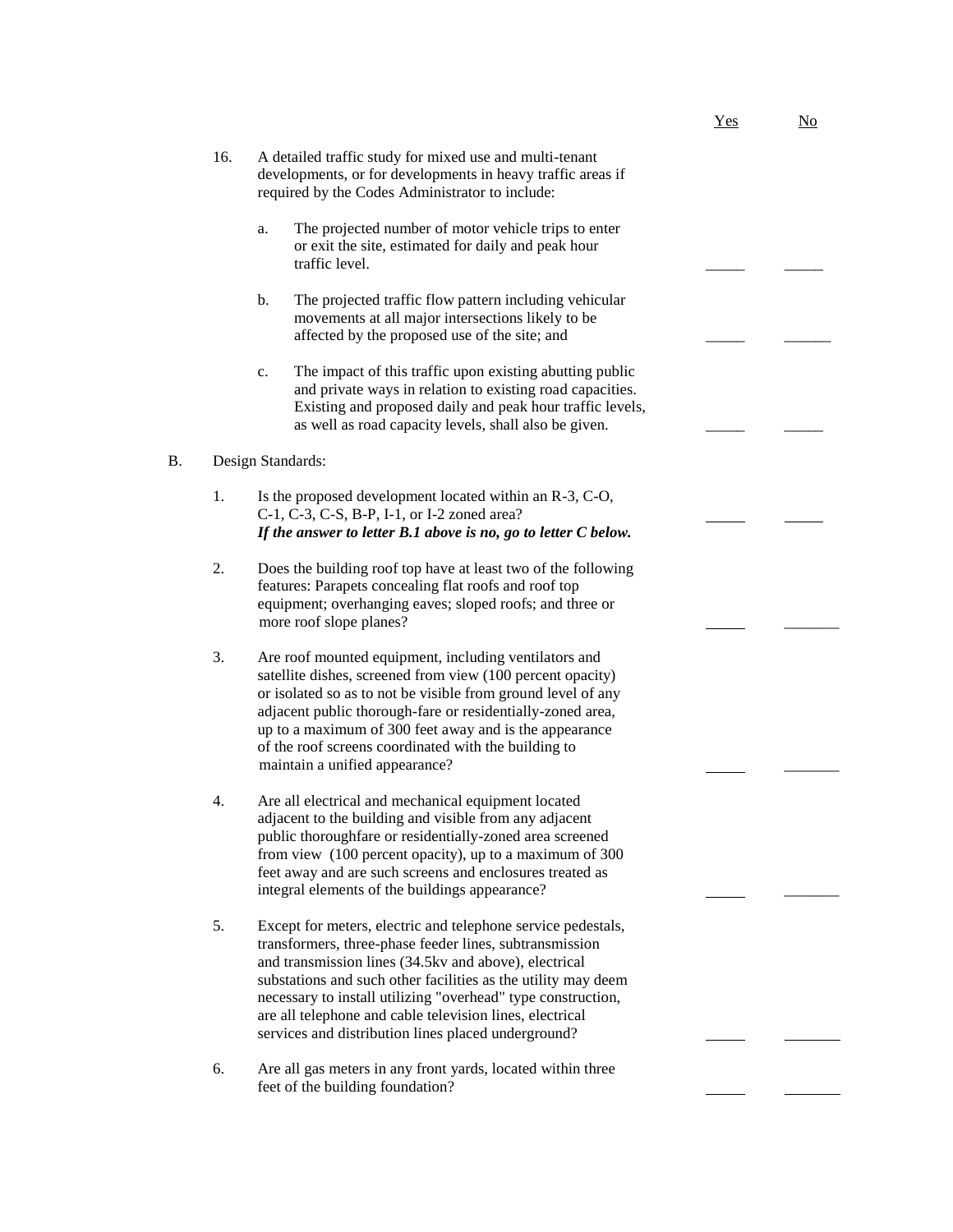- 16. A detailed traffic study for mixed use and multi-tenant developments, or for developments in heavy traffic areas if required by the Codes Administrator to include:
	- a. The projected number of motor vehicle trips to enter or exit the site, estimated for daily and peak hour traffic level.
	- b. The projected traffic flow pattern including vehicular movements at all major intersections likely to be affected by the proposed use of the site; and
	- c. The impact of this traffic upon existing abutting public and private ways in relation to existing road capacities. Existing and proposed daily and peak hour traffic levels, as well as road capacity levels, shall also be given.

#### B. Design Standards:

- 1. Is the proposed development located within an R-3, C-O, C-1, C-3, C-S, B-P, I-1, or I-2 zoned area? *If the answer to letter B.1 above is no, go to letter C below.*
- 2. Does the building roof top have at least two of the following features: Parapets concealing flat roofs and roof top equipment; overhanging eaves; sloped roofs; and three or more roof slope planes? \_\_\_\_\_\_\_
- 3. Are roof mounted equipment, including ventilators and satellite dishes, screened from view (100 percent opacity) or isolated so as to not be visible from ground level of any adjacent public thorough-fare or residentially-zoned area, up to a maximum of 300 feet away and is the appearance of the roof screens coordinated with the building to maintain a unified appearance?
- 4. Are all electrical and mechanical equipment located adjacent to the building and visible from any adjacent public thoroughfare or residentially-zoned area screened from view (100 percent opacity), up to a maximum of 300 feet away and are such screens and enclosures treated as integral elements of the buildings appearance?
- 5. Except for meters, electric and telephone service pedestals, transformers, three-phase feeder lines, subtransmission and transmission lines (34.5kv and above), electrical substations and such other facilities as the utility may deem necessary to install utilizing "overhead" type construction, are all telephone and cable television lines, electrical services and distribution lines placed underground?
- 6. Are all gas meters in any front yards, located within three feet of the building foundation?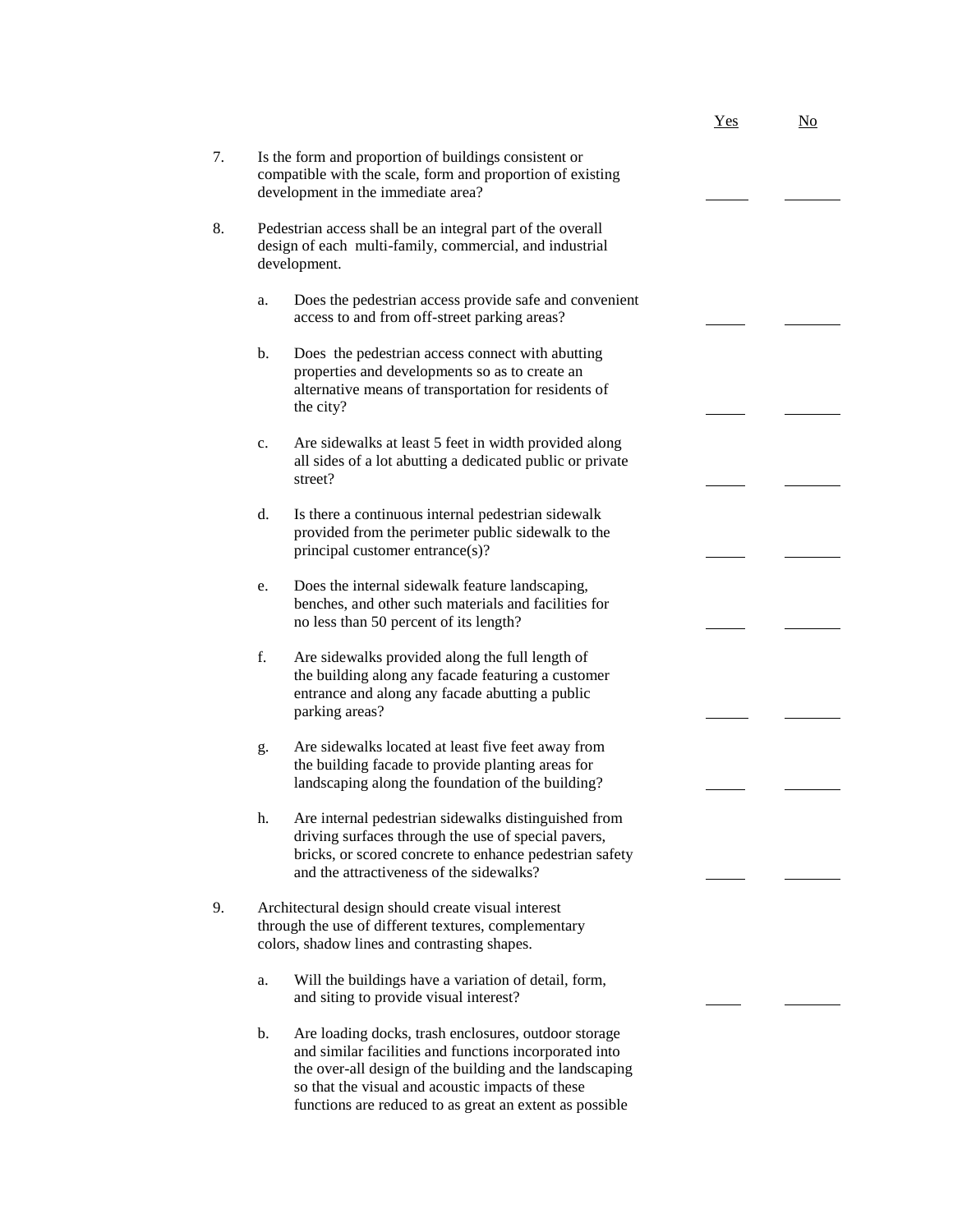|    |                                                                                                                                                                                                                                     | Yes | $\underline{\mathrm{No}}$ |
|----|-------------------------------------------------------------------------------------------------------------------------------------------------------------------------------------------------------------------------------------|-----|---------------------------|
| 7. | Is the form and proportion of buildings consistent or<br>compatible with the scale, form and proportion of existing<br>development in the immediate area?                                                                           |     |                           |
| 8. | Pedestrian access shall be an integral part of the overall<br>design of each multi-family, commercial, and industrial<br>development.                                                                                               |     |                           |
|    | Does the pedestrian access provide safe and convenient<br>a.<br>access to and from off-street parking areas?                                                                                                                        |     |                           |
|    | Does the pedestrian access connect with abutting<br>b.<br>properties and developments so as to create an<br>alternative means of transportation for residents of<br>the city?                                                       |     |                           |
|    | Are sidewalks at least 5 feet in width provided along<br>c.<br>all sides of a lot abutting a dedicated public or private<br>street?                                                                                                 |     |                           |
|    | d.<br>Is there a continuous internal pedestrian sidewalk<br>provided from the perimeter public sidewalk to the<br>principal customer entrance(s)?                                                                                   |     |                           |
|    | Does the internal sidewalk feature landscaping,<br>e.<br>benches, and other such materials and facilities for<br>no less than 50 percent of its length?                                                                             |     |                           |
|    | f.<br>Are sidewalks provided along the full length of<br>the building along any facade featuring a customer<br>entrance and along any facade abutting a public<br>parking areas?                                                    |     |                           |
|    | Are sidewalks located at least five feet away from<br>g.<br>the building facade to provide planting areas for<br>landscaping along the foundation of the building?                                                                  |     |                           |
|    | Are internal pedestrian sidewalks distinguished from<br>h.<br>driving surfaces through the use of special pavers,<br>bricks, or scored concrete to enhance pedestrian safety<br>and the attractiveness of the sidewalks?            |     |                           |
| 9. | Architectural design should create visual interest<br>through the use of different textures, complementary<br>colors, shadow lines and contrasting shapes.                                                                          |     |                           |
|    | Will the buildings have a variation of detail, form,<br>a.<br>and siting to provide visual interest?                                                                                                                                |     |                           |
|    | b.<br>Are loading docks, trash enclosures, outdoor storage<br>and similar facilities and functions incorporated into<br>the over-all design of the building and the landscaping<br>so that the visual and acoustic impacts of these |     |                           |

functions are reduced to as great an extent as possible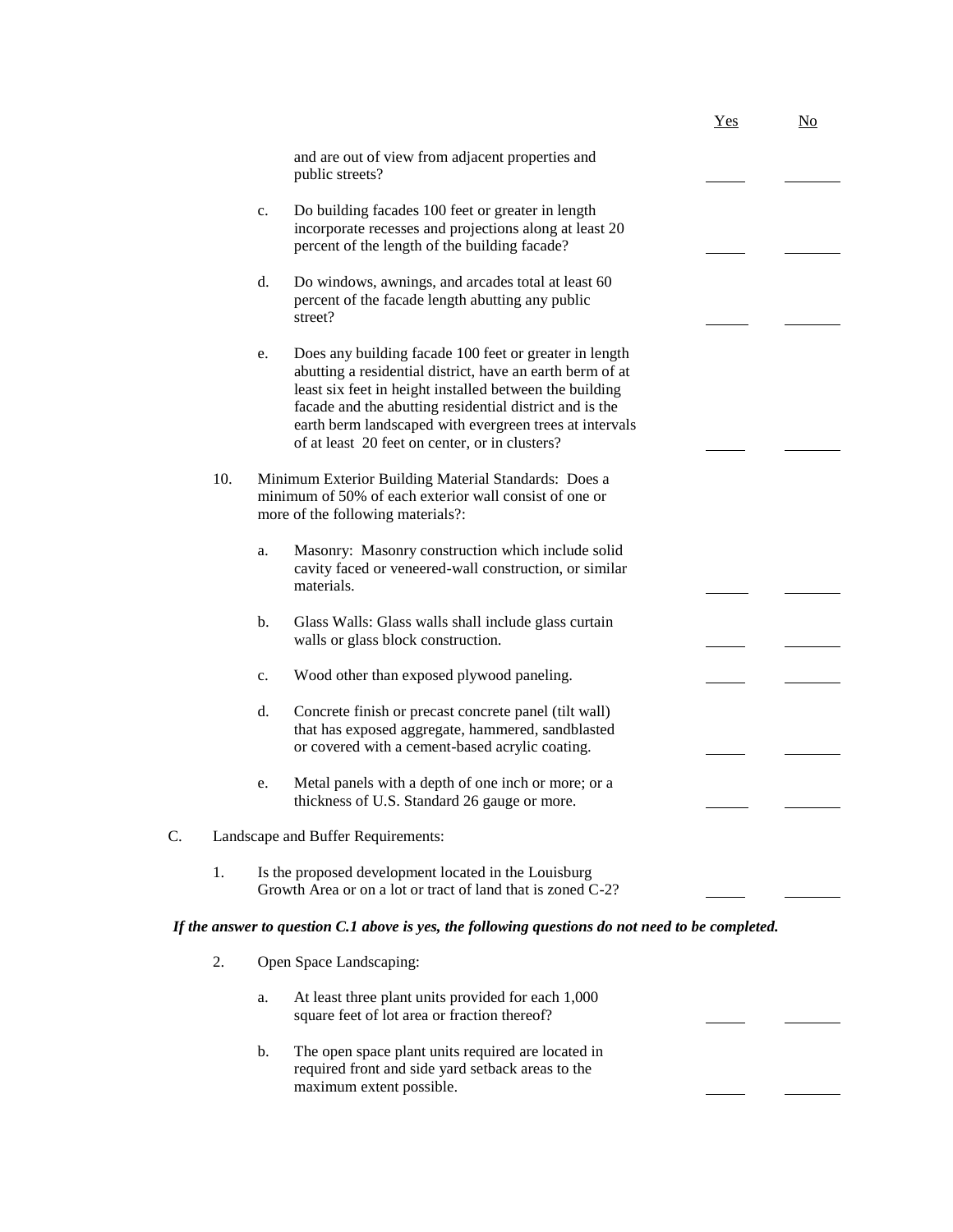|    |     |                                                                                                                                                                                                                                                                                                                                                              | Yes | $\underline{\mathrm{No}}$ |
|----|-----|--------------------------------------------------------------------------------------------------------------------------------------------------------------------------------------------------------------------------------------------------------------------------------------------------------------------------------------------------------------|-----|---------------------------|
|    |     | and are out of view from adjacent properties and<br>public streets?                                                                                                                                                                                                                                                                                          |     |                           |
|    |     | Do building facades 100 feet or greater in length<br>c.<br>incorporate recesses and projections along at least 20<br>percent of the length of the building facade?                                                                                                                                                                                           |     |                           |
|    |     | d.<br>Do windows, awnings, and arcades total at least 60<br>percent of the facade length abutting any public<br>street?                                                                                                                                                                                                                                      |     |                           |
|    |     | Does any building facade 100 feet or greater in length<br>e.<br>abutting a residential district, have an earth berm of at<br>least six feet in height installed between the building<br>facade and the abutting residential district and is the<br>earth berm landscaped with evergreen trees at intervals<br>of at least 20 feet on center, or in clusters? |     |                           |
|    | 10. | Minimum Exterior Building Material Standards: Does a<br>minimum of 50% of each exterior wall consist of one or<br>more of the following materials?:                                                                                                                                                                                                          |     |                           |
|    |     | Masonry: Masonry construction which include solid<br>a.<br>cavity faced or veneered-wall construction, or similar<br>materials.                                                                                                                                                                                                                              |     |                           |
|    |     | b.<br>Glass Walls: Glass walls shall include glass curtain<br>walls or glass block construction.                                                                                                                                                                                                                                                             |     |                           |
|    |     | Wood other than exposed plywood paneling.<br>c.                                                                                                                                                                                                                                                                                                              |     |                           |
|    |     | d.<br>Concrete finish or precast concrete panel (tilt wall)<br>that has exposed aggregate, hammered, sandblasted<br>or covered with a cement-based acrylic coating.                                                                                                                                                                                          |     |                           |
|    |     | Metal panels with a depth of one inch or more; or a<br>e.<br>thickness of U.S. Standard 26 gauge or more.                                                                                                                                                                                                                                                    |     |                           |
| C. |     | Landscape and Buffer Requirements:                                                                                                                                                                                                                                                                                                                           |     |                           |
| 1. |     | Is the proposed development located in the Louisburg<br>Growth Area or on a lot or tract of land that is zoned C-2?                                                                                                                                                                                                                                          |     |                           |
|    |     | If the answer to question C.1 above is yes, the following questions do not need to be completed.                                                                                                                                                                                                                                                             |     |                           |
| 2. |     | Open Space Landscaping:                                                                                                                                                                                                                                                                                                                                      |     |                           |
|    |     | At least three plant units provided for each 1,000<br>a.                                                                                                                                                                                                                                                                                                     |     |                           |

b. The open space plant units required are located in required front and side yard setback areas to the maximum extent possible.

square feet of lot area or fraction thereof?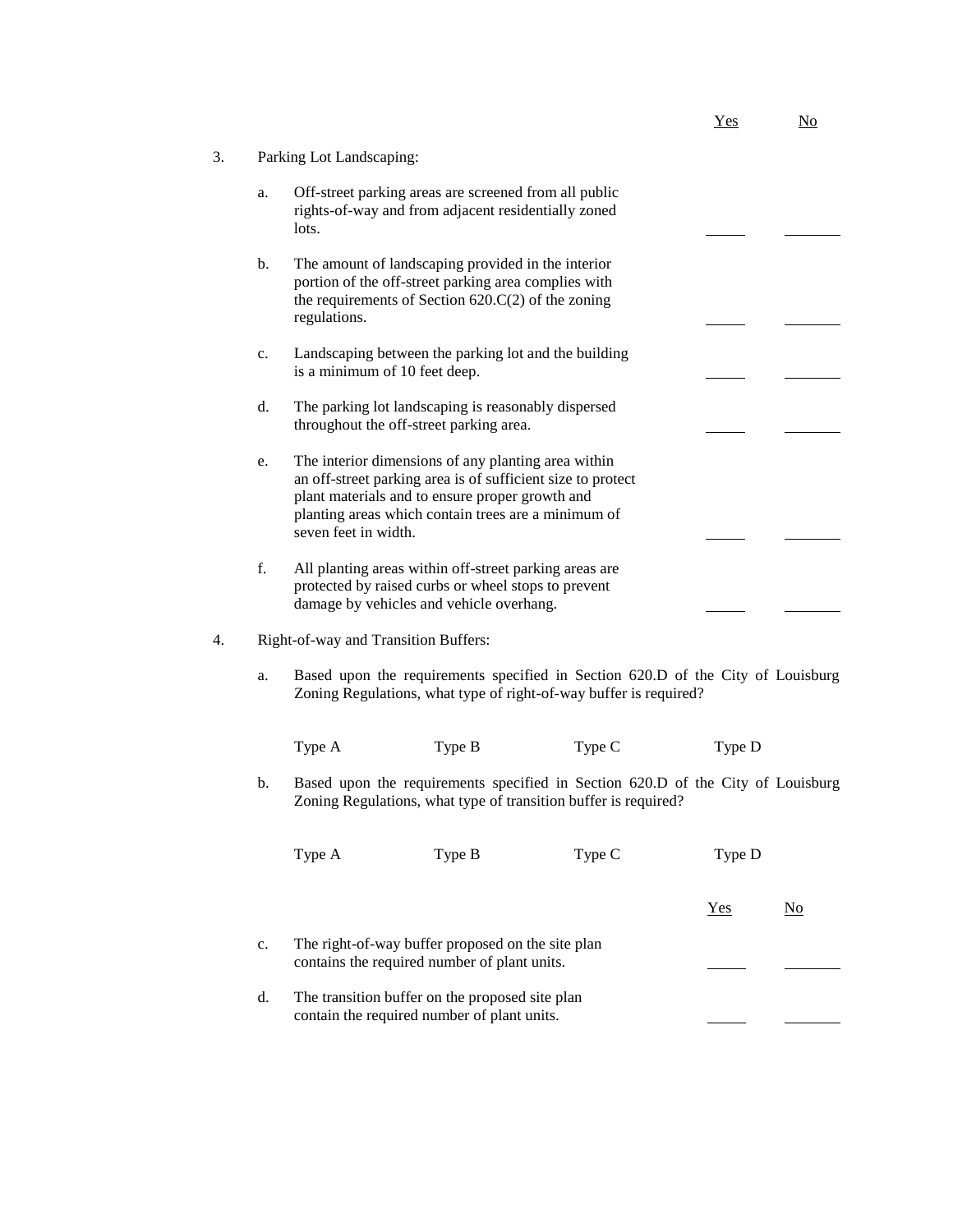|    |                |                                                                                                                                                                                                                                                      | Yes | No |
|----|----------------|------------------------------------------------------------------------------------------------------------------------------------------------------------------------------------------------------------------------------------------------------|-----|----|
| 3. |                | Parking Lot Landscaping:                                                                                                                                                                                                                             |     |    |
|    | a.             | Off-street parking areas are screened from all public<br>rights-of-way and from adjacent residentially zoned<br>lots.                                                                                                                                |     |    |
|    | $\mathbf{b}$ . | The amount of landscaping provided in the interior<br>portion of the off-street parking area complies with<br>the requirements of Section $620.C(2)$ of the zoning<br>regulations.                                                                   |     |    |
|    | c.             | Landscaping between the parking lot and the building<br>is a minimum of 10 feet deep.                                                                                                                                                                |     |    |
|    | d.             | The parking lot landscaping is reasonably dispersed<br>throughout the off-street parking area.                                                                                                                                                       |     |    |
|    | e.             | The interior dimensions of any planting area within<br>an off-street parking area is of sufficient size to protect<br>plant materials and to ensure proper growth and<br>planting areas which contain trees are a minimum of<br>seven feet in width. |     |    |
|    | f.             | All planting areas within off-street parking areas are<br>protected by raised curbs or wheel stops to prevent<br>damage by vehicles and vehicle overhang.                                                                                            |     |    |

## 4. Right-of-way and Transition Buffers:

a. Based upon the requirements specified in Section 620.D of the City of Louisburg Zoning Regulations, what type of right-of-way buffer is required?

| Type A | Type B | Type C | Type D |
|--------|--------|--------|--------|
|        |        |        |        |

b. Based upon the requirements specified in Section 620.D of the City of Louisburg Zoning Regulations, what type of transition buffer is required?

|    | Type A                                                                                            | Type B                                                                                         | Type C | Type D |    |
|----|---------------------------------------------------------------------------------------------------|------------------------------------------------------------------------------------------------|--------|--------|----|
|    |                                                                                                   |                                                                                                |        | Yes    | No |
| c. | The right-of-way buffer proposed on the site plan<br>contains the required number of plant units. |                                                                                                |        |        |    |
| d. |                                                                                                   | The transition buffer on the proposed site plan<br>contain the required number of plant units. |        |        |    |